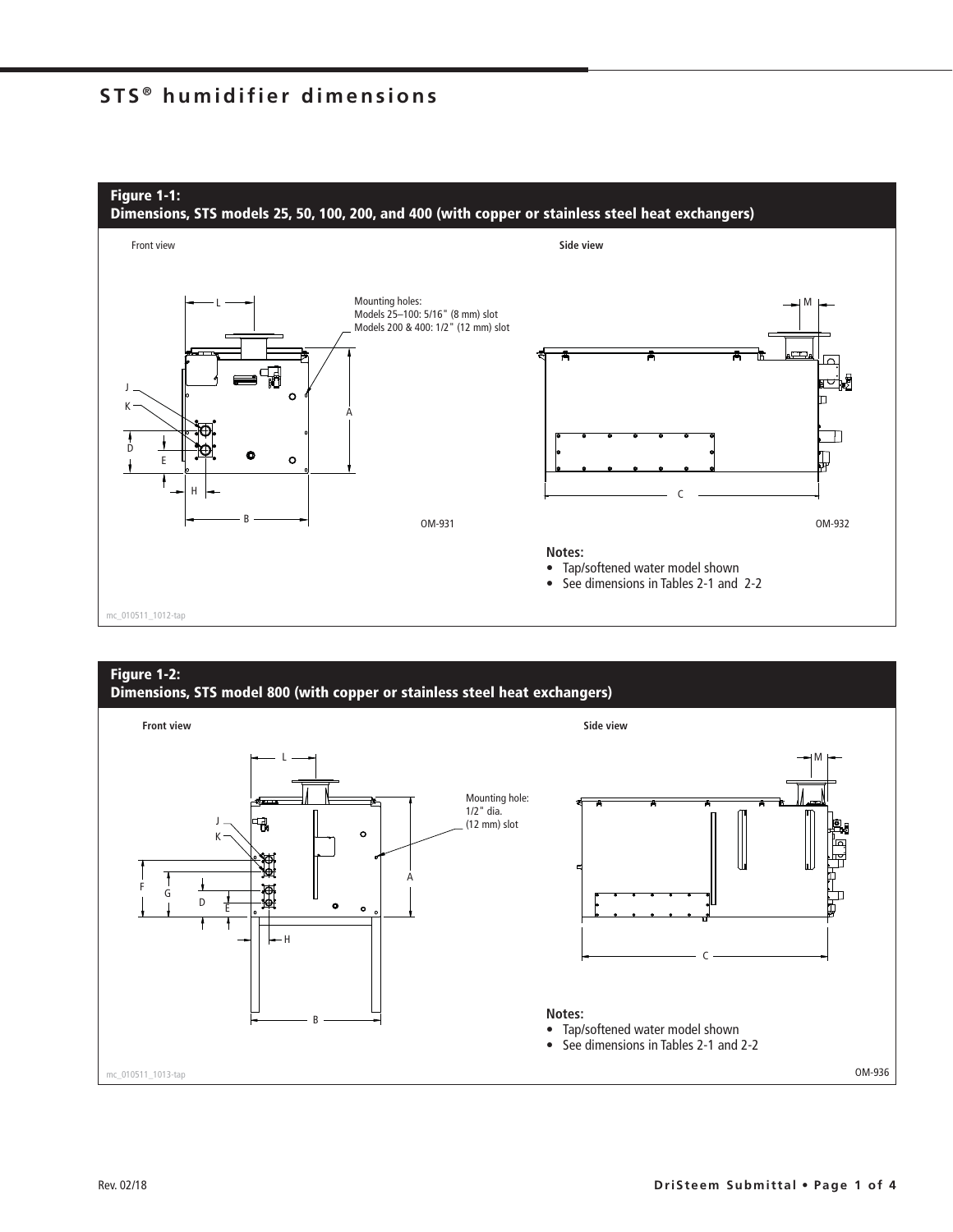## **STS ® humidifier dimensions**



# **Figure 1-2:**

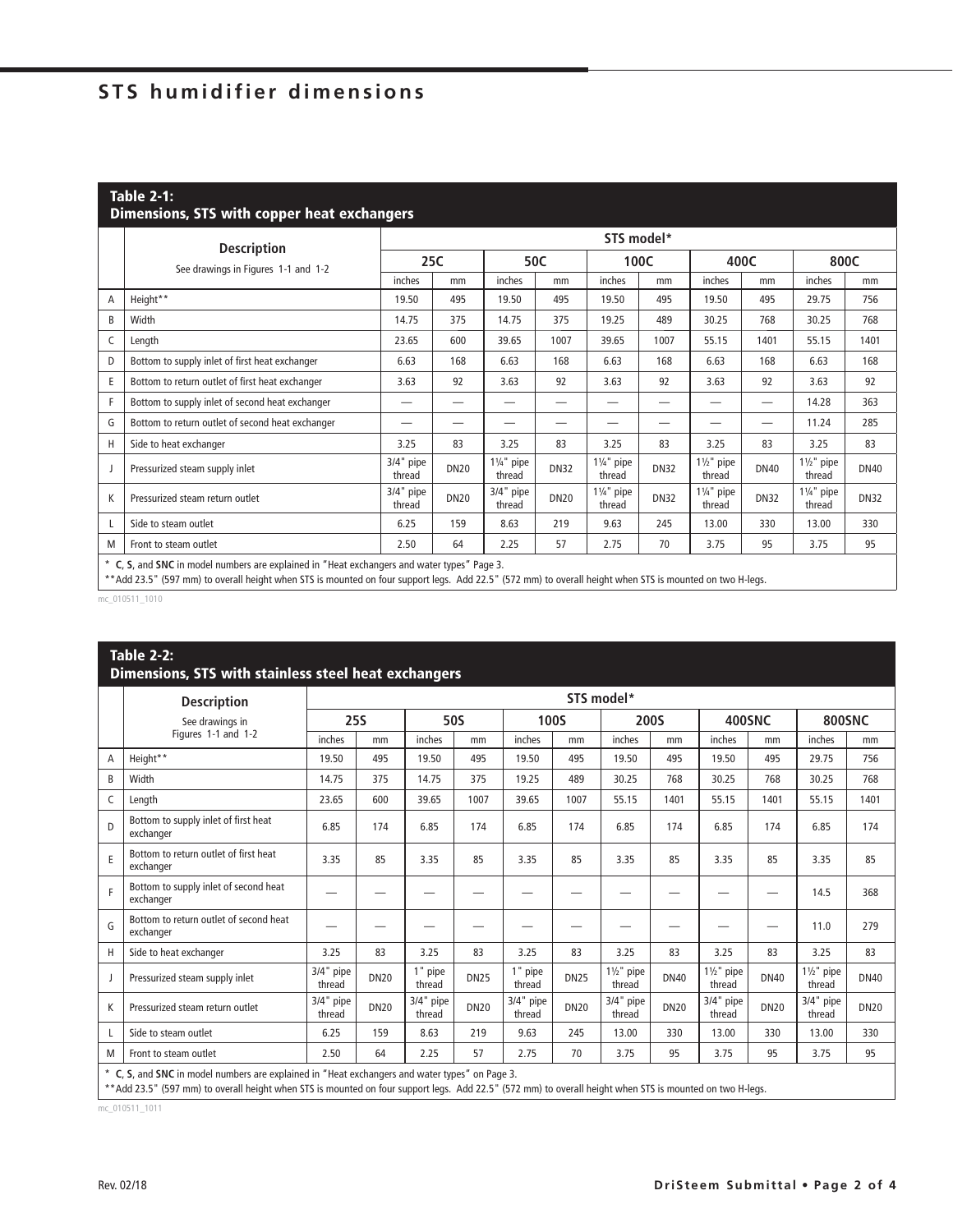# **STS humidifier dimensions**

### **Table 2-1: Dimensions, STS with copper heat exchangers**

|   |                                                                                             |                       | STS model*  |                                 |             |                                 |             |                                 |             |                                 |             |  |  |  |
|---|---------------------------------------------------------------------------------------------|-----------------------|-------------|---------------------------------|-------------|---------------------------------|-------------|---------------------------------|-------------|---------------------------------|-------------|--|--|--|
|   | <b>Description</b><br>See drawings in Figures 1-1 and 1-2                                   | 25C                   |             | 50C                             |             | 100C                            |             | 400C                            |             | 800C                            |             |  |  |  |
|   |                                                                                             | inches                | mm          | inches                          | mm          | inches                          | mm          | inches                          | mm          | inches                          | mm          |  |  |  |
| Α | Height**                                                                                    | 19.50                 | 495         | 19.50                           | 495         | 19.50                           | 495         | 19.50                           | 495         | 29.75                           | 756         |  |  |  |
| B | Width                                                                                       | 14.75                 | 375         | 14.75                           | 375         | 19.25                           | 489         | 30.25                           | 768         | 30.25                           | 768         |  |  |  |
| C | Length                                                                                      | 23.65                 | 600         | 39.65                           | 1007        | 39.65                           | 1007        | 55.15                           | 1401        | 55.15                           | 1401        |  |  |  |
| D | Bottom to supply inlet of first heat exchanger                                              | 6.63                  | 168         | 6.63                            | 168         | 6.63                            | 168         | 6.63                            | 168         | 6.63                            | 168         |  |  |  |
| E | Bottom to return outlet of first heat exchanger                                             | 3.63                  | 92          | 3.63                            | 92          | 3.63                            | 92          | 3.63                            | 92          | 3.63                            | 92          |  |  |  |
| F | Bottom to supply inlet of second heat exchanger                                             | -                     | –           | --                              | –           |                                 | --          | –                               | —           | 14.28                           | 363         |  |  |  |
| G | Bottom to return outlet of second heat exchanger                                            |                       |             |                                 | —           |                                 |             |                                 | —           | 11.24                           | 285         |  |  |  |
| Н | Side to heat exchanger                                                                      | 3.25                  | 83          | 3.25                            | 83          | 3.25                            | 83          | 3.25                            | 83          | 3.25                            | 83          |  |  |  |
|   | Pressurized steam supply inlet                                                              | $3/4"$ pipe<br>thread | <b>DN20</b> | $1\frac{1}{4}$ " pipe<br>thread | <b>DN32</b> | $1\frac{1}{4}$ " pipe<br>thread | <b>DN32</b> | $1\frac{1}{2}$ " pipe<br>thread | <b>DN40</b> | $1\frac{1}{2}$ " pipe<br>thread | <b>DN40</b> |  |  |  |
| K | Pressurized steam return outlet                                                             | 3/4" pipe<br>thread   | <b>DN20</b> | $3/4"$ pipe<br>thread           | <b>DN20</b> | $1\frac{1}{4}$ " pipe<br>thread | <b>DN32</b> | $1\frac{1}{4}$ " pipe<br>thread | <b>DN32</b> | $1\frac{1}{4}$ " pipe<br>thread | <b>DN32</b> |  |  |  |
|   | Side to steam outlet                                                                        | 6.25                  | 159         | 8.63                            | 219         | 9.63                            | 245         | 13.00                           | 330         | 13.00                           | 330         |  |  |  |
| M | Front to steam outlet                                                                       | 2.50                  | 64          | 2.25                            | 57          | 2.75                            | 70          | 3.75                            | 95          | 3.75                            | 95          |  |  |  |
|   | * C, S, and SNC in model numbers are explained in "Heat exchangers and water types" Page 3. |                       |             |                                 |             |                                 |             |                                 |             |                                 |             |  |  |  |

\*\* Add 23.5" (597 mm) to overall height when STS is mounted on four support legs. Add 22.5" (572 mm) to overall height when STS is mounted on two H-legs.

mc\_010511\_1010

#### **Table 2-2: Dimensions, STS with stainless steel heat exchangers**

|   | <b>Description</b>                                  | STS model*            |             |                     |             |                     |             |                                 |             |                                 |             |                                 |             |
|---|-----------------------------------------------------|-----------------------|-------------|---------------------|-------------|---------------------|-------------|---------------------------------|-------------|---------------------------------|-------------|---------------------------------|-------------|
|   | See drawings in                                     | <b>25S</b>            |             | <b>50S</b>          |             | <b>100S</b>         |             | 200S                            |             | <b>400SNC</b>                   |             | <b>800SNC</b>                   |             |
|   | Figures 1-1 and 1-2                                 | inches                | mm          | inches              | mm          | inches              | mm          | inches                          | mm          | inches                          | mm          | inches                          | mm          |
| A | Height**                                            | 19.50                 | 495         | 19.50               | 495         | 19.50               | 495         | 19.50                           | 495         | 19.50                           | 495         | 29.75                           | 756         |
| B | Width                                               | 14.75                 | 375         | 14.75               | 375         | 19.25               | 489         | 30.25                           | 768         | 30.25                           | 768         | 30.25                           | 768         |
| C | Length                                              | 23.65                 | 600         | 39.65               | 1007        | 39.65               | 1007        | 55.15                           | 1401        | 55.15                           | 1401        | 55.15                           | 1401        |
| D | Bottom to supply inlet of first heat<br>exchanger   | 6.85                  | 174         | 6.85                | 174         | 6.85                | 174         | 6.85                            | 174         | 6.85                            | 174         | 6.85                            | 174         |
| E | Bottom to return outlet of first heat<br>exchanger  | 3.35                  | 85          | 3.35                | 85          | 3.35                | 85          | 3.35                            | 85          | 3.35                            | 85          | 3.35                            | 85          |
| F | Bottom to supply inlet of second heat<br>exchanger  | –                     |             |                     |             |                     |             |                                 |             |                                 |             | 14.5                            | 368         |
| G | Bottom to return outlet of second heat<br>exchanger |                       |             |                     |             |                     |             |                                 |             |                                 |             | 11.0                            | 279         |
| H | Side to heat exchanger                              | 3.25                  | 83          | 3.25                | 83          | 3.25                | 83          | 3.25                            | 83          | 3.25                            | 83          | 3.25                            | 83          |
|   | Pressurized steam supply inlet                      | $3/4"$ pipe<br>thread | <b>DN20</b> | 1" pipe<br>thread   | <b>DN25</b> | 1" pipe<br>thread   | <b>DN25</b> | $1\frac{1}{2}$ " pipe<br>thread | <b>DN40</b> | $1\frac{1}{2}$ " pipe<br>thread | <b>DN40</b> | $1\frac{1}{2}$ " pipe<br>thread | <b>DN40</b> |
| K | Pressurized steam return outlet                     | $3/4"$ pipe<br>thread | <b>DN20</b> | 3/4" pipe<br>thread | <b>DN20</b> | 3/4" pipe<br>thread | <b>DN20</b> | $3/4"$ pipe<br>thread           | <b>DN20</b> | $3/4"$ pipe<br>thread           | <b>DN20</b> | 3/4" pipe<br>thread             | <b>DN20</b> |
|   | Side to steam outlet                                | 6.25                  | 159         | 8.63                | 219         | 9.63                | 245         | 13.00                           | 330         | 13.00                           | 330         | 13.00                           | 330         |
| M | Front to steam outlet                               | 2.50                  | 64          | 2.25                | 57          | 2.75                | 70          | 3.75                            | 95          | 3.75                            | 95          | 3.75                            | 95          |
|   |                                                     |                       |             |                     |             |                     |             |                                 |             |                                 |             |                                 |             |

\* **C**, **S**, and **SNC** in model numbers are explained in "Heat exchangers and water types" on Page 3.

\*\* Add 23.5" (597 mm) to overall height when STS is mounted on four support legs. Add 22.5" (572 mm) to overall height when STS is mounted on two H-legs.

mc\_010511\_1011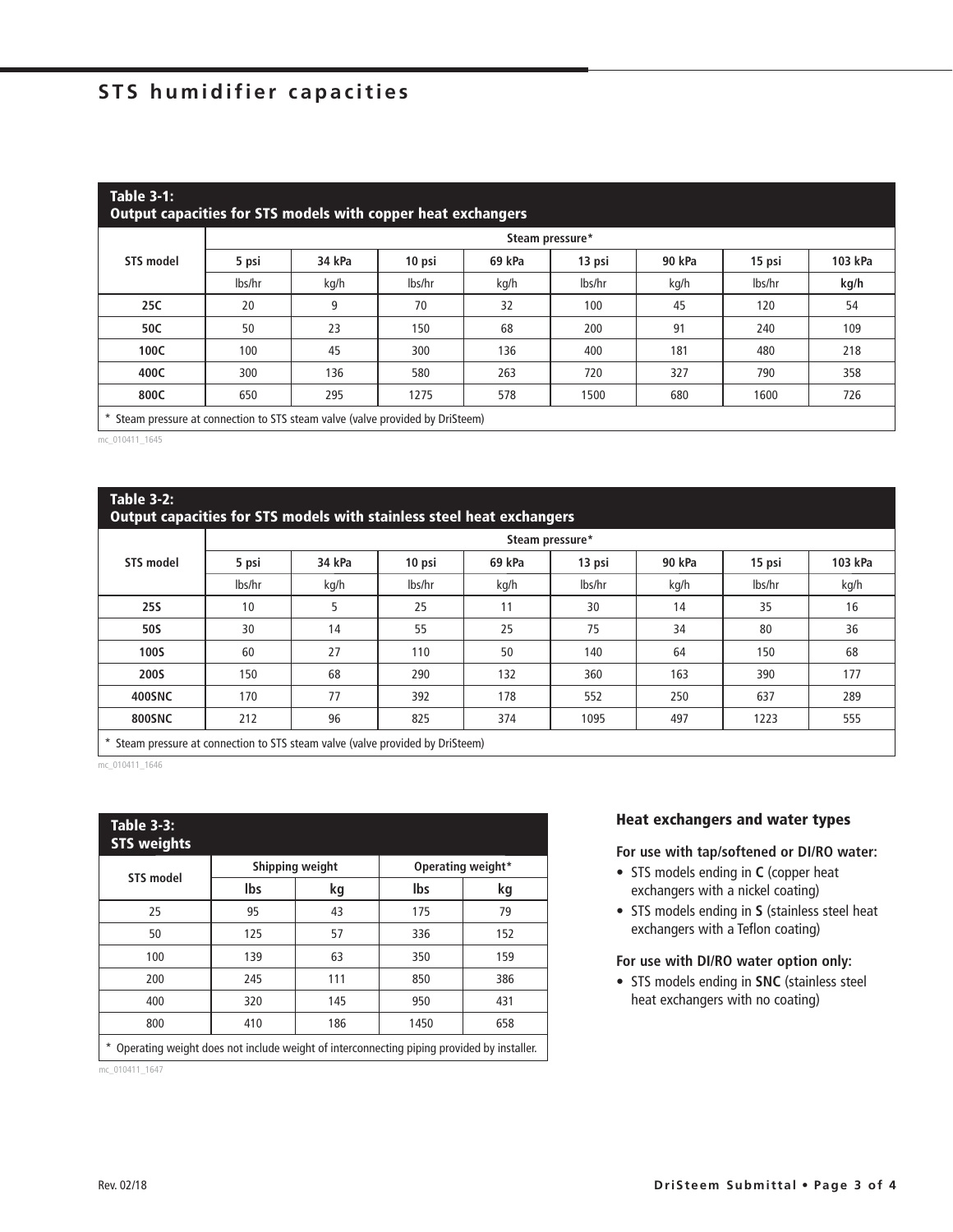## **STS humidifier capacities**

| <b>Table 3-1:</b><br>Output capacities for STS models with copper heat exchangers |                 |        |        |        |        |        |        |         |  |  |  |  |
|-----------------------------------------------------------------------------------|-----------------|--------|--------|--------|--------|--------|--------|---------|--|--|--|--|
|                                                                                   | Steam pressure* |        |        |        |        |        |        |         |  |  |  |  |
| STS model                                                                         | 5 psi           | 34 kPa | 10 psi | 69 kPa | 13 psi | 90 kPa | 15 psi | 103 kPa |  |  |  |  |
|                                                                                   | lbs/hr          | kg/h   | lbs/hr | kg/h   | lbs/hr | kg/h   | lbs/hr | kg/h    |  |  |  |  |
| 25C                                                                               | 20              | 9      | 70     | 32     | 100    | 45     | 120    | 54      |  |  |  |  |
| 50C                                                                               | 50              | 23     | 150    | 68     | 200    | 91     | 240    | 109     |  |  |  |  |
| 100C                                                                              | 100             | 45     | 300    | 136    | 400    | 181    | 480    | 218     |  |  |  |  |
| 400C                                                                              | 300             | 136    | 580    | 263    | 720    | 327    | 790    | 358     |  |  |  |  |
| 800C                                                                              | 650             | 295    | 1275   | 578    | 1500   | 680    | 1600   | 726     |  |  |  |  |
| Steam pressure at connection to STS steam valve (valve provided by DriSteem)      |                 |        |        |        |        |        |        |         |  |  |  |  |

L

mc\_010411\_1645

#### **Table 3-2:**

#### **Output capacities for STS models with stainless steel heat exchangers**

|               | Steam pressure* |        |        |        |        |        |        |         |  |  |  |  |
|---------------|-----------------|--------|--------|--------|--------|--------|--------|---------|--|--|--|--|
| STS model     | 5 psi           | 34 kPa | 10 psi | 69 kPa | 13 psi | 90 kPa | 15 psi | 103 kPa |  |  |  |  |
|               | lbs/hr          | kg/h   | lbs/hr | kg/h   | lbs/hr | kg/h   | lbs/hr | kg/h    |  |  |  |  |
| <b>25S</b>    | 10              |        | 25     | 11     | 30     | 14     | 35     | 16      |  |  |  |  |
| 50S           | 30              | 14     | 55     | 25     | 75     | 34     | 80     | 36      |  |  |  |  |
| <b>100S</b>   | 60              | 27     | 110    | 50     | 140    | 64     | 150    | 68      |  |  |  |  |
| <b>200S</b>   | 150             | 68     | 290    | 132    | 360    | 163    | 390    | 177     |  |  |  |  |
| 400SNC        | 170             | 77     | 392    | 178    | 552    | 250    | 637    | 289     |  |  |  |  |
| <b>800SNC</b> | 212             | 96     | 825    | 374    | 1095   | 497    | 1223   | 555     |  |  |  |  |

\* Steam pressure at connection to STS steam valve (valve provided by DriSteem)

mc\_010411\_1646

| <b>Table 3-3:</b><br><b>STS weights</b>                                                   |            |                 |                   |     |  |  |  |  |  |
|-------------------------------------------------------------------------------------------|------------|-----------------|-------------------|-----|--|--|--|--|--|
|                                                                                           |            | Shipping weight | Operating weight* |     |  |  |  |  |  |
| <b>STS model</b>                                                                          | <b>lbs</b> | kg              | <b>Ibs</b>        | kg  |  |  |  |  |  |
| 25                                                                                        | 95         | 43              | 175               | 79  |  |  |  |  |  |
| 50                                                                                        | 125        | 57              | 336               | 152 |  |  |  |  |  |
| 100                                                                                       | 139        | 63              | 350               | 159 |  |  |  |  |  |
| 200                                                                                       | 245        | 111             | 850               | 386 |  |  |  |  |  |
| 400                                                                                       | 320        | 145             | 950               | 431 |  |  |  |  |  |
| 800                                                                                       | 410        | 186             | 1450              | 658 |  |  |  |  |  |
| Operating weight does not include weight of interconnecting piping provided by installer. |            |                 |                   |     |  |  |  |  |  |

mc\_010411\_1647

#### **Heat exchangers and water types**

#### **For use with tap/softened or DI/RO water:**

- STS models ending in **C** (copper heat exchangers with a nickel coating)
- STS models ending in **S** (stainless steel heat exchangers with a Teflon coating)

#### **For use with DI/RO water option only:**

• STS models ending in **SNC** (stainless steel heat exchangers with no coating)